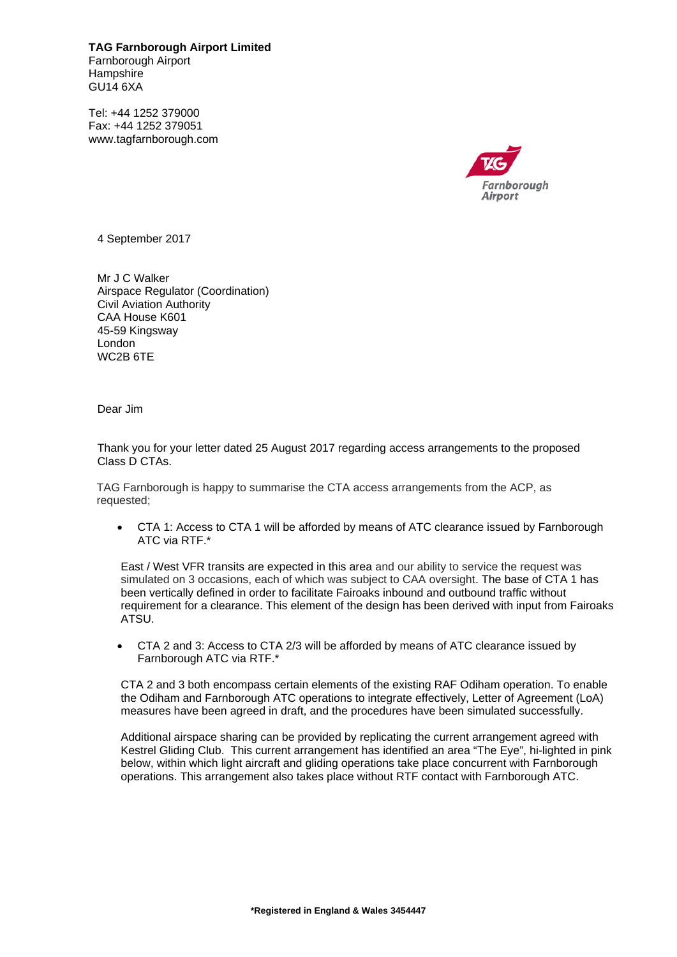**TAG Farnborough Airport Limited**  Farnborough Airport **Hampshire** GU14 6XA

Tel: +44 1252 379000 Fax: +44 1252 379051 www.tagfarnborough.com



4 September 2017

Mr J C Walker Airspace Regulator (Coordination) Civil Aviation Authority CAA House K601 45-59 Kingsway London WC2B 6TE

Dear Jim

Thank you for your letter dated 25 August 2017 regarding access arrangements to the proposed Class D CTAs.

TAG Farnborough is happy to summarise the CTA access arrangements from the ACP, as requested;

 CTA 1: Access to CTA 1 will be afforded by means of ATC clearance issued by Farnborough ATC via RTF.\*

East / West VFR transits are expected in this area and our ability to service the request was simulated on 3 occasions, each of which was subject to CAA oversight. The base of CTA 1 has been vertically defined in order to facilitate Fairoaks inbound and outbound traffic without requirement for a clearance. This element of the design has been derived with input from Fairoaks ATSU.

 CTA 2 and 3: Access to CTA 2/3 will be afforded by means of ATC clearance issued by Farnborough ATC via RTF.\*

CTA 2 and 3 both encompass certain elements of the existing RAF Odiham operation. To enable the Odiham and Farnborough ATC operations to integrate effectively, Letter of Agreement (LoA) measures have been agreed in draft, and the procedures have been simulated successfully.

Additional airspace sharing can be provided by replicating the current arrangement agreed with Kestrel Gliding Club. This current arrangement has identified an area "The Eye", hi-lighted in pink below, within which light aircraft and gliding operations take place concurrent with Farnborough operations. This arrangement also takes place without RTF contact with Farnborough ATC.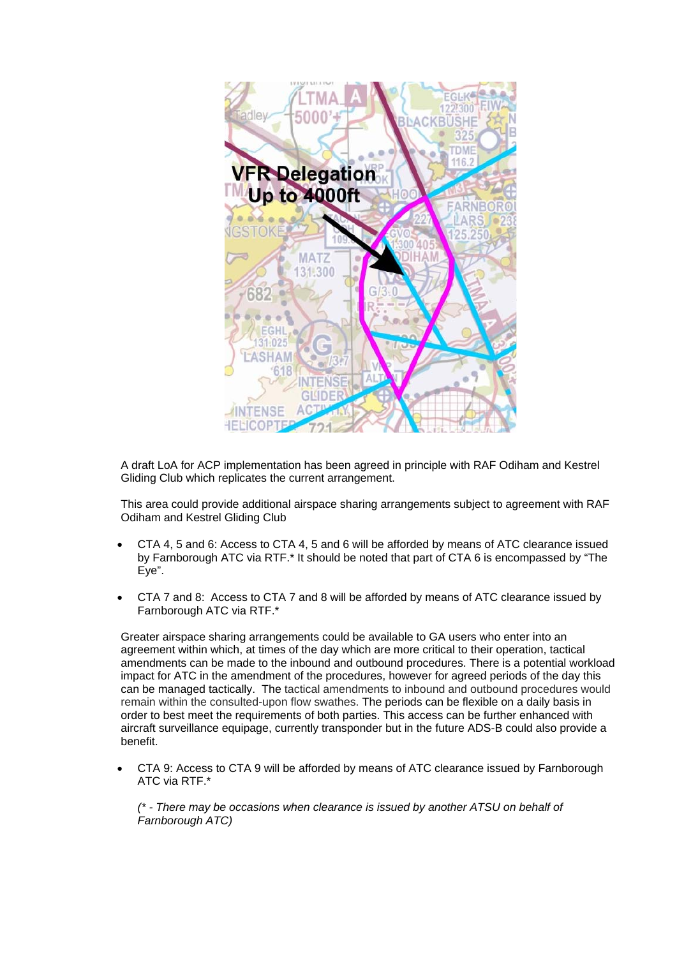

A draft LoA for ACP implementation has been agreed in principle with RAF Odiham and Kestrel Gliding Club which replicates the current arrangement.

This area could provide additional airspace sharing arrangements subject to agreement with RAF Odiham and Kestrel Gliding Club

- CTA 4, 5 and 6: Access to CTA 4, 5 and 6 will be afforded by means of ATC clearance issued by Farnborough ATC via RTF.\* It should be noted that part of CTA 6 is encompassed by "The Eye".
- CTA 7 and 8: Access to CTA 7 and 8 will be afforded by means of ATC clearance issued by Farnborough ATC via RTF.\*

Greater airspace sharing arrangements could be available to GA users who enter into an agreement within which, at times of the day which are more critical to their operation, tactical amendments can be made to the inbound and outbound procedures. There is a potential workload impact for ATC in the amendment of the procedures, however for agreed periods of the day this can be managed tactically. The tactical amendments to inbound and outbound procedures would remain within the consulted-upon flow swathes. The periods can be flexible on a daily basis in order to best meet the requirements of both parties. This access can be further enhanced with aircraft surveillance equipage, currently transponder but in the future ADS-B could also provide a benefit.

 CTA 9: Access to CTA 9 will be afforded by means of ATC clearance issued by Farnborough ATC via RTF.\*

*(\* - There may be occasions when clearance is issued by another ATSU on behalf of Farnborough ATC)*